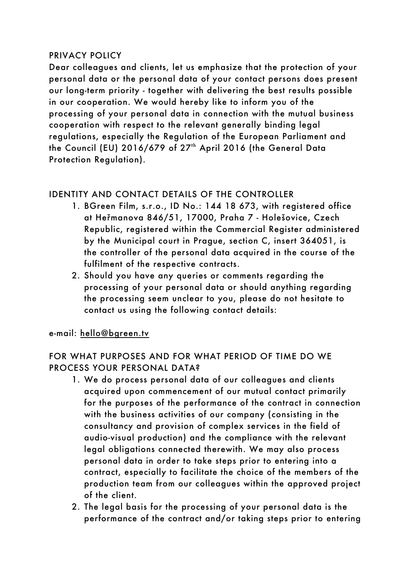### PRIVACY POLICY

Dear colleagues and clients, let us emphasize that the protection of your personal data or the personal data of your contact persons does present our long-term priority - together with delivering the best results possible in our cooperation. We would hereby like to inform you of the processing of your personal data in connection with the mutual business cooperation with respect to the relevant generally binding legal regulations, especially the Regulation of the European Parliament and the Council (EU) 2016/679 of 27<sup>th</sup> April 2016 (the General Data Protection Regulation).

### IDENTITY AND CONTACT DETAILS OF THE CONTROLLER

- 1. BGreen Film, s.r.o., ID No.: 144 18 673, with registered office at Heřmanova 846/51, 17000, Praha 7 - Holešovice, Czech Republic, registered within the Commercial Register administered by the Municipal court in Prague, section C, insert 364051, is the controller of the personal data acquired in the course of the fulfilment of the respective contracts.
- 2. Should you have any queries or comments regarding the processing of your personal data or should anything regarding the processing seem unclear to you, please do not hesitate to contact us using the following contact details:

#### e-mail: hello@bgreen.tv

FOR WHAT PURPOSES AND FOR WHAT PERIOD OF TIME DO WE PROCESS YOUR PERSONAL DATA?

- 1. We do process personal data of our colleagues and clients acquired upon commencement of our mutual contact primarily for the purposes of the performance of the contract in connection with the business activities of our company (consisting in the consultancy and provision of complex services in the field of audio-visual production) and the compliance with the relevant legal obligations connected therewith. We may also process personal data in order to take steps prior to entering into a contract, especially to facilitate the choice of the members of the production team from our colleagues within the approved project of the client.
- 2. The legal basis for the processing of your personal data is the performance of the contract and/or taking steps prior to entering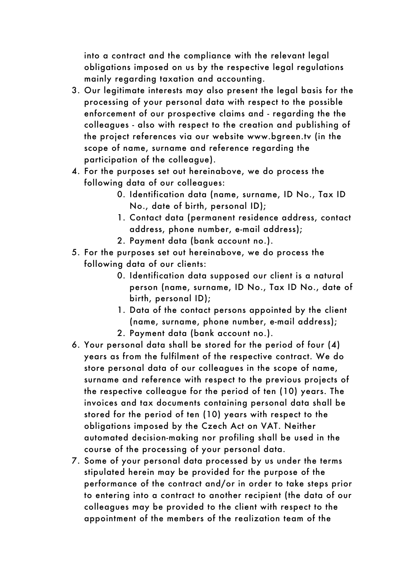into a contract and the compliance with the relevant legal obligations imposed on us by the respective legal regulations mainly regarding taxation and accounting.

- 3. Our legitimate interests may also present the legal basis for the processing of your personal data with respect to the possible enforcement of our prospective claims and - regarding the the colleagues - also with respect to the creation and publishing of the project references via our website www.bgreen.tv (in the scope of name, surname and reference regarding the participation of the colleague).
- 4. For the purposes set out hereinabove, we do process the following data of our colleagues:
	- 0. Identification data (name, surname, ID No., Tax ID No., date of birth, personal ID);
	- 1. Contact data (permanent residence address, contact address, phone number, e-mail address);
	- 2. Payment data (bank account no.).
- 5. For the purposes set out hereinabove, we do process the following data of our clients:
	- 0. Identification data supposed our client is a natural person (name, surname, ID No., Tax ID No., date of birth, personal ID);
	- 1. Data of the contact persons appointed by the client (name, surname, phone number, e-mail address);
	- 2. Payment data (bank account no.).
- 6. Your personal data shall be stored for the period of four (4) years as from the fulfilment of the respective contract. We do store personal data of our colleagues in the scope of name, surname and reference with respect to the previous projects of the respective colleague for the period of ten (10) years. The invoices and tax documents containing personal data shall be stored for the period of ten (10) years with respect to the obligations imposed by the Czech Act on VAT. Neither automated decision-making nor profiling shall be used in the course of the processing of your personal data.
- 7. Some of your personal data processed by us under the terms stipulated herein may be provided for the purpose of the performance of the contract and/or in order to take steps prior to entering into a contract to another recipient (the data of our colleagues may be provided to the client with respect to the appointment of the members of the realization team of the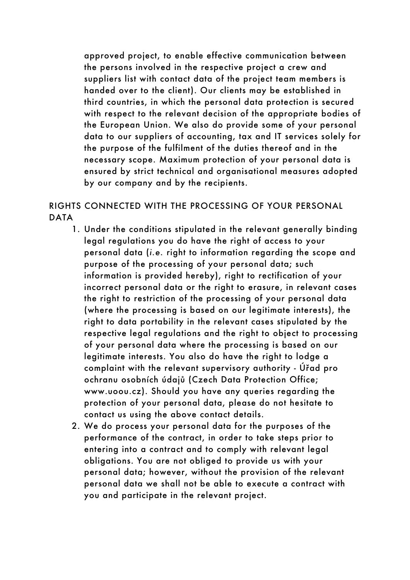approved project, to enable effective communication between the persons involved in the respective project a crew and suppliers list with contact data of the project team members is handed over to the client). Our clients may be established in third countries, in which the personal data protection is secured with respect to the relevant decision of the appropriate bodies of the European Union. We also do provide some of your personal data to our suppliers of accounting, tax and IT services solely for the purpose of the fulfilment of the duties thereof and in the necessary scope. Maximum protection of your personal data is ensured by strict technical and organisational measures adopted by our company and by the recipients.

#### RIGHTS CONNECTED WITH THE PROCESSING OF YOUR PERSONAL DATA

- 1. Under the conditions stipulated in the relevant generally binding legal regulations you do have the right of access to your personal data (*i.e.* right to information regarding the scope and purpose of the processing of your personal data; such information is provided hereby), right to rectification of your incorrect personal data or the right to erasure, in relevant cases the right to restriction of the processing of your personal data (where the processing is based on our legitimate interests), the right to data portability in the relevant cases stipulated by the respective legal regulations and the right to object to processing of your personal data where the processing is based on our legitimate interests. You also do have the right to lodge a complaint with the relevant supervisory authority - Úřad pro ochranu osobních údajů (Czech Data Protection Office; www.uoou.cz). Should you have any queries regarding the protection of your personal data, please do not hesitate to contact us using the above contact details.
- 2. We do process your personal data for the purposes of the performance of the contract, in order to take steps prior to entering into a contract and to comply with relevant legal obligations. You are not obliged to provide us with your personal data; however, without the provision of the relevant personal data we shall not be able to execute a contract with you and participate in the relevant project.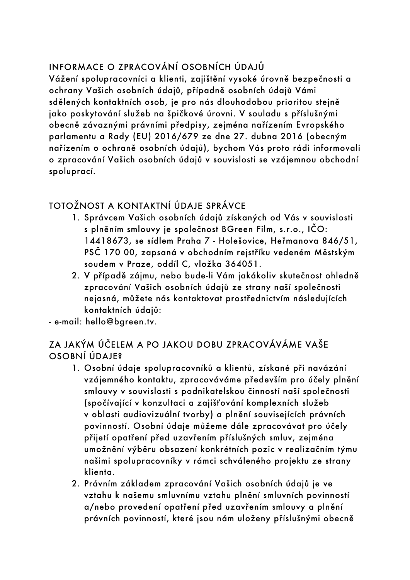# INFORMACE O ZPRACOVÁNÍ OSOBNÍCH ÚDAJŮ

Vážení spolupracovníci a klienti, zajištění vysoké úrovně bezpečnosti a ochrany Vašich osobních údajů, případně osobních údajů Vámi sdělených kontaktních osob, je pro nás dlouhodobou prioritou stejně jako poskytování služeb na špičkové úrovni. V souladu s příslušnými obecně závaznými právními předpisy, zejména nařízením Evropského parlamentu a Rady (EU) 2016/679 ze dne 27. dubna 2016 (obecným nařízením o ochraně osobních údajů), bychom Vás proto rádi informovali o zpracování Vašich osobních údajů v souvislosti se vzájemnou obchodní spoluprací.

# TOTOŽNOST A KONTAKTNÍ ÚDAJE SPRÁVCE

- 1. Správcem Vašich osobních údajů získaných od Vás v souvislosti s plněním smlouvy je společnost BGreen Film, s.r.o., IČO: 14418673, se sídlem Praha 7 - Holešovice, Heřmanova 846/51, PSČ 170 00, zapsaná v obchodním rejstříku vedeném Městským soudem v Praze, oddíl C, vložka 364051.
- 2. V případě zájmu, nebo bude-li Vám jakákoliv skutečnost ohledně zpracování Vašich osobních údajů ze strany naší společnosti nejasná, můžete nás kontaktovat prostřednictvím následujících kontaktních údajů:
- e-mail: hello@bgreen.tv.

## ZA JAKÝM ÚČELEM A PO JAKOU DOBU ZPRACOVÁVÁME VAŠE OSOBNÍ ÚDAJE?

- 1. Osobní údaje spolupracovníků a klientů, získané při navázání vzájemného kontaktu, zpracováváme především pro účely plnění smlouvy v souvislosti s podnikatelskou činností naší společnosti (spočívající v konzultaci a zajišťování komplexních služeb v oblasti audiovizuální tvorby) a plnění souvisejících právních povinností. Osobní údaje můžeme dále zpracovávat pro účely přijetí opatření před uzavřením příslušných smluv, zejména umožnění výběru obsazení konkrétních pozic v realizačním týmu našimi spolupracovníky v rámci schváleného projektu ze strany klienta.
- 2. Právním základem zpracování Vašich osobních údajů je ve vztahu k našemu smluvnímu vztahu plnění smluvních povinností a/nebo provedení opatření před uzavřením smlouvy a plnění právních povinností, které jsou nám uloženy příslušnými obecně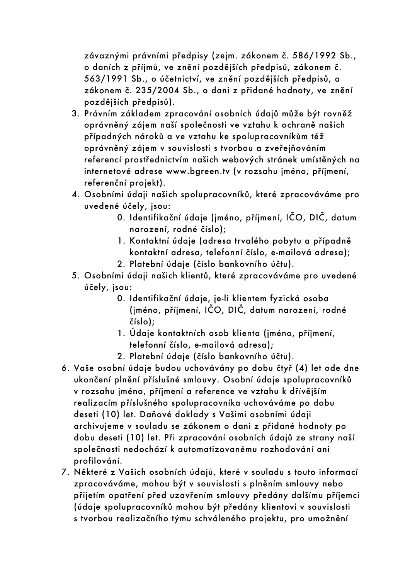závaznými právními předpisy (zejm. zákonem č. 586/1992 Sb., o daních z příjmů, ve znění pozdějších předpisů, zákonem č. 563/1991 Sb., o účetnictví, ve znění pozdějších předpisů, a zákonem č. 235/2004 Sb., o dani z přidané hodnoty, ve znění pozdějších předpisů).

- 3. Právním základem zpracování osobních údajů může být rovněž oprávněný zájem naší společnosti ve vztahu k ochraně našich případných nároků a ve vztahu ke spolupracovníkům též oprávněný zájem v souvislosti s tvorbou a zveřejňováním referencí prostřednictvím našich webových stránek umístěných na internetové adrese www.bgreen.tv (v rozsahu jméno, příjmení, referenční projekt).
- 4. Osobními údaji našich spolupracovníků, které zpracováváme pro uvedené účely, jsou:
	- 0. Identifikační údaje (jméno, příjmení, IČO, DIČ, datum narození, rodné číslo);
	- 1. Kontaktní údaje (adresa trvalého pobytu a případně kontaktní adresa, telefonní číslo, e-mailová adresa);
	- 2. Platební údaje (číslo bankovního účtu).
- 5. Osobními údaji našich klientů, které zpracováváme pro uvedené účely, jsou:
	- 0. Identifikační údaje, je-li klientem fyzická osoba (jméno, příjmení, IČO, DIČ, datum narození, rodné číslo);
	- 1. Údaje kontaktních osob klienta (jméno, příjmení, telefonní číslo, e-mailová adresa);
	- 2. Platební údaje (číslo bankovního účtu).
- 6. Vaše osobní údaje budou uchovávány po dobu čtyř (4) let ode dne ukončení plnění příslušné smlouvy. Osobní údaje spolupracovníků v rozsahu jméno, příjmení a reference ve vztahu k dřívějším realizacím příslušného spolupracovníka uchováváme po dobu deseti (10) let. Daňové doklady s Vašimi osobními údaji archivujeme v souladu se zákonem o dani z přidané hodnoty po dobu deseti (10) let. Při zpracování osobních údajů ze strany naší společnosti nedochází k automatizovanému rozhodování ani profilování.
- 7. Některé z Vašich osobních údajů, které v souladu s touto informací zpracováváme, mohou být v souvislosti s plněním smlouvy nebo přijetím opatření před uzavřením smlouvy předány dalšímu příjemci (údaje spolupracovníků mohou být předány klientovi v souvislosti s tvorbou realizačního týmu schváleného projektu, pro umožnění